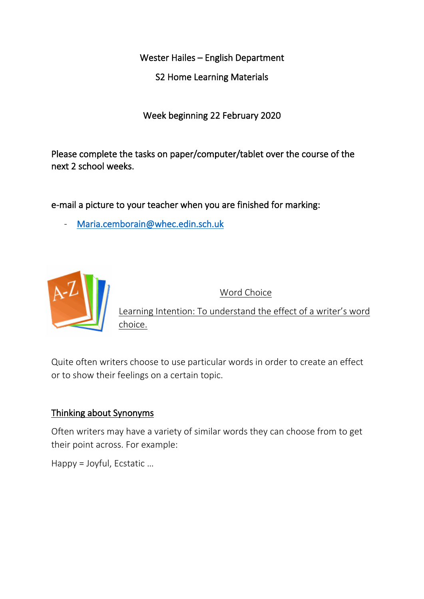Wester Hailes – English Department

S2 Home Learning Materials

Week beginning 22 February 2020

Please complete the tasks on paper/computer/tablet over the course of the next 2 school weeks.

e-mail a picture to your teacher when you are finished for marking:

Maria.cemborain@whec.edin.sch.uk



Word Choice

Learning Intention: To understand the effect of a writer's word choice.

Quite often writers choose to use particular words in order to create an effect or to show their feelings on a certain topic.

## Thinking about Synonyms

Often writers may have a variety of similar words they can choose from to get their point across. For example:

Happy = Joyful, Ecstatic …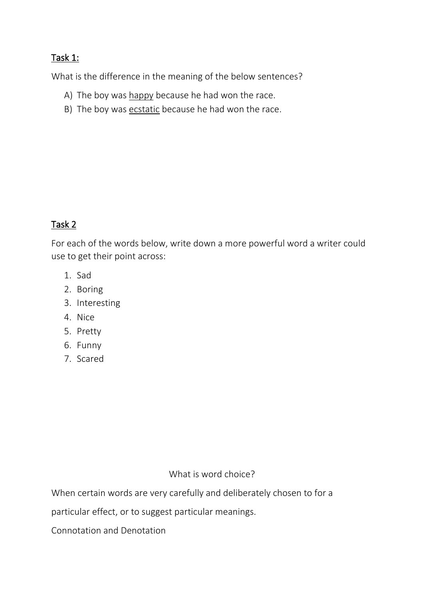## Task 1:

What is the difference in the meaning of the below sentences?

- A) The boy was happy because he had won the race.
- B) The boy was ecstatic because he had won the race.

# Task 2

For each of the words below, write down a more powerful word a writer could use to get their point across:

- 1. Sad
- 2. Boring
- 3. Interesting
- 4. Nice
- 5. Pretty
- 6. Funny
- 7. Scared

### What is word choice?

When certain words are very carefully and deliberately chosen to for a

particular effect, or to suggest particular meanings.

Connotation and Denotation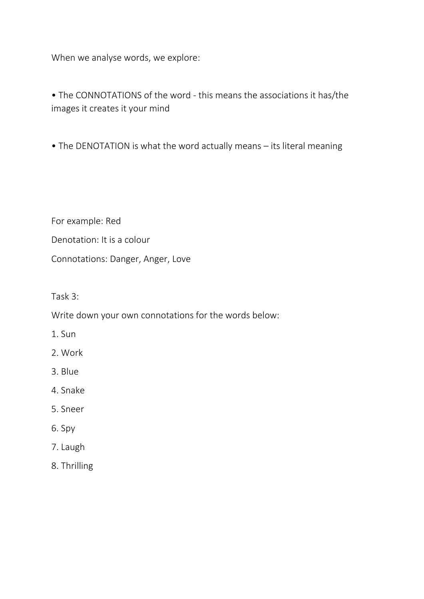When we analyse words, we explore:

• The CONNOTATIONS of the word - this means the associations it has/the images it creates it your mind

• The DENOTATION is what the word actually means – its literal meaning

For example: Red Denotation: It is a colour Connotations: Danger, Anger, Love

Task 3:

Write down your own connotations for the words below:

- 1. Sun
- 2. Work
- 3. Blue
- 4. Snake
- 5. Sneer
- 6. Spy
- 7. Laugh
- 8. Thrilling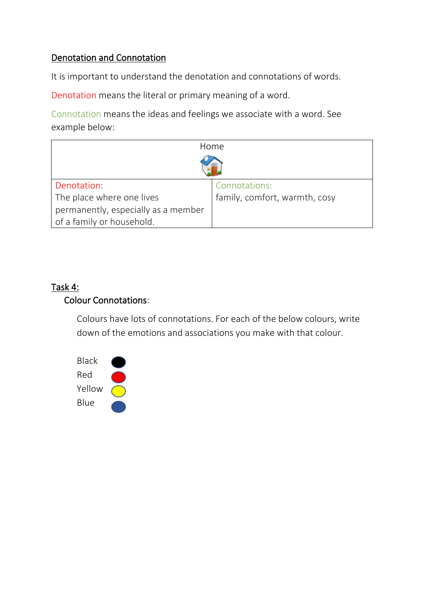## Denotation and Connotation

It is important to understand the denotation and connotations of words.

Denotation means the literal or primary meaning of a word.

Connotation means the ideas and feelings we associate with a word. See example below:

| Home                                |                               |
|-------------------------------------|-------------------------------|
|                                     |                               |
| Denotation:                         | Connotations:                 |
| The place where one lives           | family, comfort, warmth, cosy |
| permanently, especially as a member |                               |
| of a family or household.           |                               |

## Task 4: Colour Connotations:

Colours have lots of connotations. For each of the below colours, write down of the emotions and associations you make with that colour.

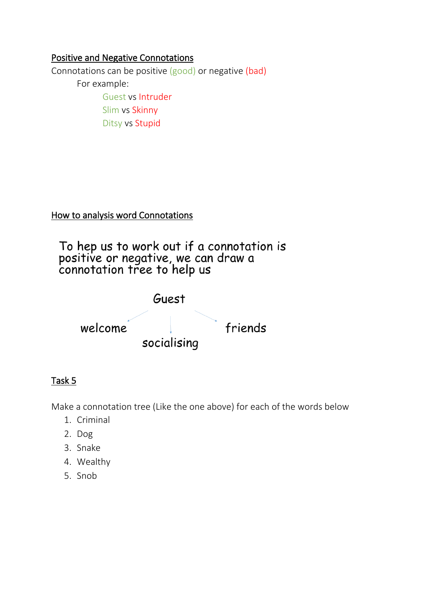### Positive and Negative Connotations

Connotations can be positive (good) or negative (bad) For example: Guest vs Intruder Slim vs Skinny Ditsy vs Stupid

## How to analysis word Connotations

To hep us to work out if a connotation is<br>positive or negative, we can draw a<br>connotation tree to help us



## Task 5

Make a connotation tree (Like the one above) for each of the words below

- 1. Criminal
- 2. Dog
- 3. Snake
- 4. Wealthy
- 5. Snob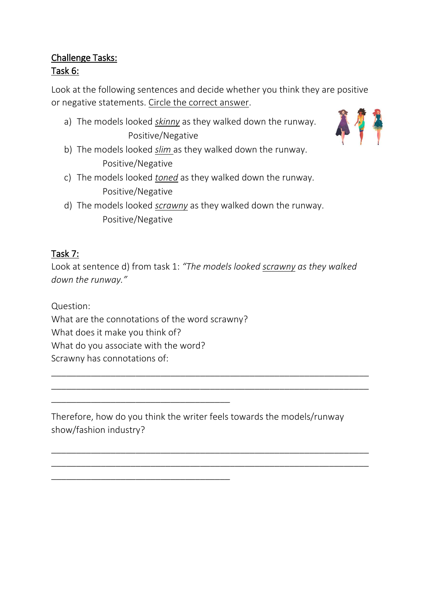## Challenge Tasks: Task 6:

Look at the following sentences and decide whether you think they are positive or negative statements. Circle the correct answer.

- a) The models looked *skinny* as they walked down the runway. Positive/Negative
- b) The models looked *slim* as they walked down the runway. Positive/Negative
- c) The models looked *toned* as they walked down the runway. Positive/Negative
- d) The models looked *scrawny* as they walked down the runway. Positive/Negative

# Task 7:

Look at sentence d) from task 1: *"The models looked scrawny as they walked down the runway."*

Question:

What are the connotations of the word scrawny?

What does it make you think of?

What do you associate with the word?

\_\_\_\_\_\_\_\_\_\_\_\_\_\_\_\_\_\_\_\_\_\_\_\_\_\_\_\_\_\_\_\_\_\_\_\_

\_\_\_\_\_\_\_\_\_\_\_\_\_\_\_\_\_\_\_\_\_\_\_\_\_\_\_\_\_\_\_\_\_\_\_\_

Scrawny has connotations of:

Therefore, how do you think the writer feels towards the models/runway show/fashion industry?

\_\_\_\_\_\_\_\_\_\_\_\_\_\_\_\_\_\_\_\_\_\_\_\_\_\_\_\_\_\_\_\_\_\_\_\_\_\_\_\_\_\_\_\_\_\_\_\_\_\_\_\_\_\_\_\_\_\_\_\_\_\_\_\_ \_\_\_\_\_\_\_\_\_\_\_\_\_\_\_\_\_\_\_\_\_\_\_\_\_\_\_\_\_\_\_\_\_\_\_\_\_\_\_\_\_\_\_\_\_\_\_\_\_\_\_\_\_\_\_\_\_\_\_\_\_\_\_\_

\_\_\_\_\_\_\_\_\_\_\_\_\_\_\_\_\_\_\_\_\_\_\_\_\_\_\_\_\_\_\_\_\_\_\_\_\_\_\_\_\_\_\_\_\_\_\_\_\_\_\_\_\_\_\_\_\_\_\_\_\_\_\_\_ \_\_\_\_\_\_\_\_\_\_\_\_\_\_\_\_\_\_\_\_\_\_\_\_\_\_\_\_\_\_\_\_\_\_\_\_\_\_\_\_\_\_\_\_\_\_\_\_\_\_\_\_\_\_\_\_\_\_\_\_\_\_\_\_

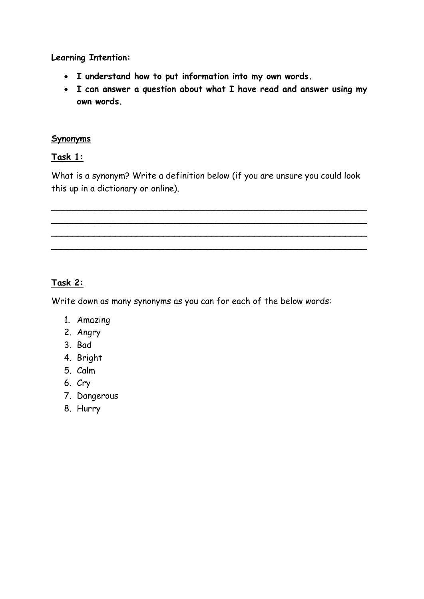**Learning Intention:**

- **I understand how to put information into my own words.**
- **I can answer a question about what I have read and answer using my own words.**

### **Synonyms**

#### **Task 1:**

What is a synonym? Write a definition below (if you are unsure you could look this up in a dictionary or online).

\_\_\_\_\_\_\_\_\_\_\_\_\_\_\_\_\_\_\_\_\_\_\_\_\_\_\_\_\_\_\_\_\_\_\_\_\_\_\_\_\_\_\_\_\_\_\_\_\_\_\_\_\_\_\_\_\_\_\_ \_\_\_\_\_\_\_\_\_\_\_\_\_\_\_\_\_\_\_\_\_\_\_\_\_\_\_\_\_\_\_\_\_\_\_\_\_\_\_\_\_\_\_\_\_\_\_\_\_\_\_\_\_\_\_\_\_\_\_ \_\_\_\_\_\_\_\_\_\_\_\_\_\_\_\_\_\_\_\_\_\_\_\_\_\_\_\_\_\_\_\_\_\_\_\_\_\_\_\_\_\_\_\_\_\_\_\_\_\_\_\_\_\_\_\_\_\_\_ \_\_\_\_\_\_\_\_\_\_\_\_\_\_\_\_\_\_\_\_\_\_\_\_\_\_\_\_\_\_\_\_\_\_\_\_\_\_\_\_\_\_\_\_\_\_\_\_\_\_\_\_\_\_\_\_\_\_\_

### **Task 2:**

Write down as many synonyms as you can for each of the below words:

- 1. Amazing
- 2. Angry
- 3. Bad
- 4. Bright
- 5. Calm
- 6. Cry
- 7. Dangerous
- 8. Hurry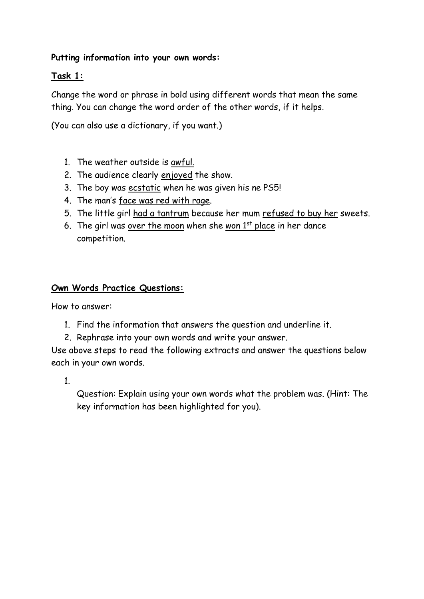### **Putting information into your own words:**

#### **Task 1:**

Change the word or phrase in bold using different words that mean the same thing. You can change the word order of the other words, if it helps.

(You can also use a dictionary, if you want.)

- 1. The weather outside is awful.
- 2. The audience clearly enjoyed the show.
- 3. The boy was ecstatic when he was given his ne PS5!
- 4. The man's face was red with rage.
- 5. The little girl had a tantrum because her mum refused to buy her sweets.
- 6. The girl was over the moon when she won  $1<sup>st</sup>$  place in her dance competition.

#### **Own Words Practice Questions:**

How to answer:

- 1. Find the information that answers the question and underline it.
- 2. Rephrase into your own words and write your answer.

Use above steps to read the following extracts and answer the questions below each in your own words.

1.

Question: Explain using your own words what the problem was. (Hint: The key information has been highlighted for you).